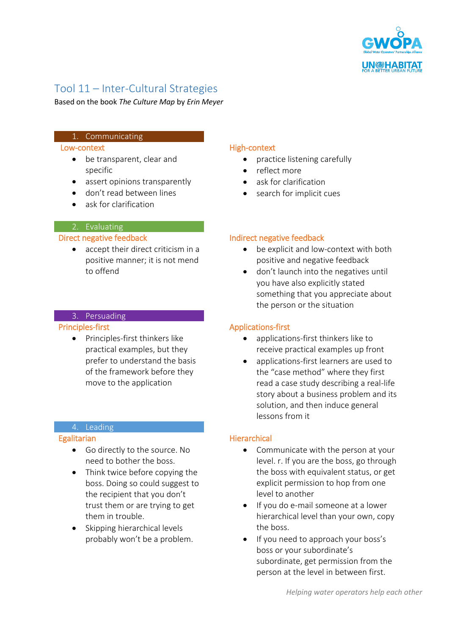

# Tool 11 – Inter-Cultural Strategies

Based on the book *The Culture Map* by *Erin Meyer*

# 1. Communicating

#### Low-context

- be transparent, clear and specific
- assert opinions transparently
- don't read between lines
- ask for clarification

# 2. Evaluating

#### Direct negative feedback

 accept their direct criticism in a positive manner; it is not mend to offend

# 3. Persuading

#### Principles-first

• Principles-first thinkers like practical examples, but they prefer to understand the basis of the framework before they move to the application

#### 4. Leading

#### **Egalitarian**

- Go directly to the source. No need to bother the boss.
- Think twice before copying the boss. Doing so could suggest to the recipient that you don't trust them or are trying to get them in trouble.
- Skipping hierarchical levels probably won't be a problem.

# High-context

- practice listening carefully
- reflect more
- ask for clarification
- search for implicit cues

# Indirect negative feedback

- be explicit and low-context with both positive and negative feedback
- don't launch into the negatives until you have also explicitly stated something that you appreciate about the person or the situation

# Applications-first

- applications-first thinkers like to receive practical examples up front
- applications-first learners are used to the "case method" where they first read a case study describing a real-life story about a business problem and its solution, and then induce general lessons from it

# **Hierarchical**

- Communicate with the person at your level. r. If you are the boss, go through the boss with equivalent status, or get explicit permission to hop from one level to another
- If you do e-mail someone at a lower hierarchical level than your own, copy the boss.
- If you need to approach your boss's boss or your subordinate's subordinate, get permission from the person at the level in between first.